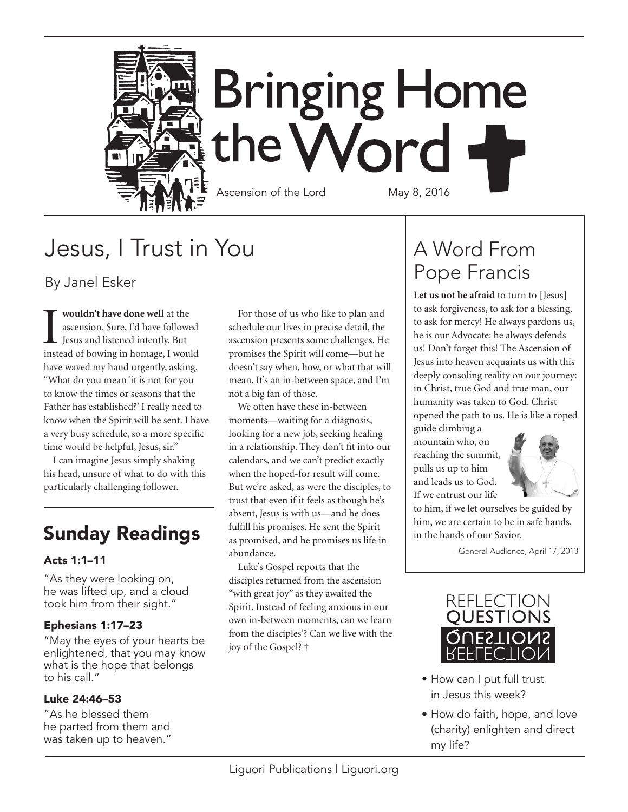

# Jesus, I Trust in You

By Janel Esker

**I wouldn't have done well** at the ascension. Sure, I'd have followed Jesus and listened intently. But ascension. Sure, I'd have followed Jesus and listened intently. But instead of bowing in homage, I would have waved my hand urgently, asking, "What do you mean 'it is not for you to know the times or seasons that the Father has established?' I really need to know when the Spirit will be sent. I have a very busy schedule, so a more specific time would be helpful, Jesus, sir."

I can imagine Jesus simply shaking his head, unsure of what to do with this particularly challenging follower.

### Sunday Readings

#### Acts 1:1–11

"As they were looking on, he was lifted up, and a cloud took him from their sight."

#### Ephesians 1:17–23

"May the eyes of your hearts be enlightened, that you may know what is the hope that belongs to his call."

#### Luke 24:46–53

"As he blessed them he parted from them and was taken up to heaven."

For those of us who like to plan and schedule our lives in precise detail, the ascension presents some challenges. He promises the Spirit will come—but he doesn't say when, how, or what that will mean. It's an in-between space, and I'm not a big fan of those.

We often have these in-between moments—waiting for a diagnosis, looking for a new job, seeking healing in a relationship. They don't fit into our calendars, and we can't predict exactly when the hoped-for result will come. But we're asked, as were the disciples, to trust that even if it feels as though he's absent, Jesus is with us—and he does fulfill his promises. He sent the Spirit as promised, and he promises us life in abundance.

Luke's Gospel reports that the disciples returned from the ascension "with great joy" as they awaited the Spirit. Instead of feeling anxious in our own in-between moments, can we learn from the disciples'? Can we live with the joy of the Gospel? †

## A Word From Pope Francis

**Let us not be afraid** to turn to [Jesus] to ask forgiveness, to ask for a blessing, to ask for mercy! He always pardons us, he is our Advocate: he always defends us! Don't forget this! The Ascension of Jesus into heaven acquaints us with this deeply consoling reality on our journey: in Christ, true God and true man, our humanity was taken to God. Christ opened the path to us. He is like a roped

guide climbing a mountain who, on reaching the summit, pulls us up to him and leads us to God. If we entrust our life



to him, if we let ourselves be guided by him, we are certain to be in safe hands, in the hands of our Savior.

—General Audience, April 17, 2013



- How can I put full trust in Jesus this week?
- How do faith, hope, and love (charity) enlighten and direct my life?